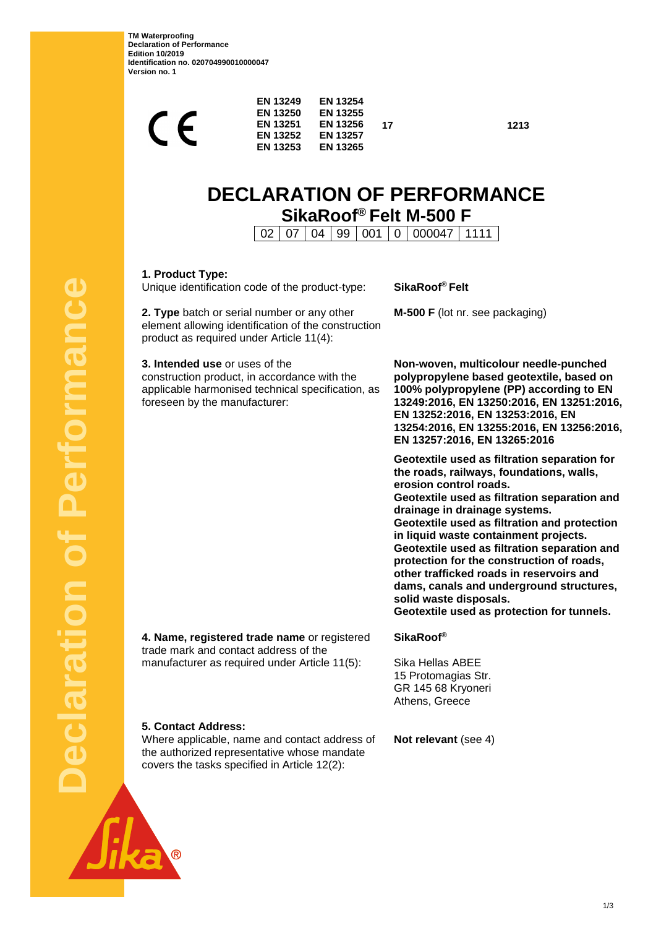**TM Waterproofing Declaration of Performance Edition 10/2019 Identification no. 020704990010000047 Version no. 1**

| EN 13249<br>EN 13250<br>CE<br><b>EN 13253</b>                                                                                                                        | EN 13254<br><b>EN 13255</b><br>EN 13251<br><b>EN 13256</b><br><b>EN 13257</b><br>EN 13252<br><b>EN 13265</b> | 17                                                                                                                        | 1213 |
|----------------------------------------------------------------------------------------------------------------------------------------------------------------------|--------------------------------------------------------------------------------------------------------------|---------------------------------------------------------------------------------------------------------------------------|------|
|                                                                                                                                                                      |                                                                                                              | <b>DECLARATION OF PERFORMANCE</b><br>SikaRoof® Felt M-500 F                                                               |      |
| 02                                                                                                                                                                   | 07<br>04<br>99                                                                                               | 000047<br>001<br>0                                                                                                        | 1111 |
| 1. Product Type:<br>Unique identification code of the product-type:                                                                                                  |                                                                                                              | SikaRoof <sup>®</sup> Felt                                                                                                |      |
| 2. Type batch or serial number or any other<br>element allowing identification of the construction<br>product as required under Article 11(4):                       |                                                                                                              | M-500 F (lot nr. see packaging)                                                                                           |      |
| 3. Intended use or uses of the<br>construction product, in accordance with the<br>applicable harmonised technical specification, as<br>foreseen by the manufacturer: |                                                                                                              | Non-woven, multicolour need<br>polypropylene based geotext<br>100% polypropylene (PP) acc<br>13249:2016, EN 13250:2016, E |      |

**Non-woven, multicolour needle-punched extile, based on 100% polypropylene (PP) according to EN 13249:2016, EN 13250:2016, EN 13251:2016, EN 13252:2016, EN 13253:2016, EN 13254:2016, EN 13255:2016, EN 13256:2016, EN 13257:2016, EN 13265:2016**

**Geotextile used as filtration separation for the roads, railways, foundations, walls, erosion control roads. Geotextile used as filtration separation and drainage in drainage systems. Geotextile used as filtration and protection in liquid waste containment projects. Geotextile used as filtration separation and** 

**protection for the construction of roads, other trafficked roads in reservoirs and dams, canals and underground structures, solid waste disposals.**

**Geotextile used as protection for tunnels.**

**4. Name, registered trade name** or registered trade mark and contact address of the manufacturer as required under Article 11(5):

## **SikaRoof®**

Sika Hellas ABEE 15 Protomagias Str. GR 145 68 Kryoneri Athens, Greece

## **5. Contact Address:**

Where applicable, name and contact address of the authorized representative whose mandate covers the tasks specified in Article 12(2):

**Not relevant** (see 4)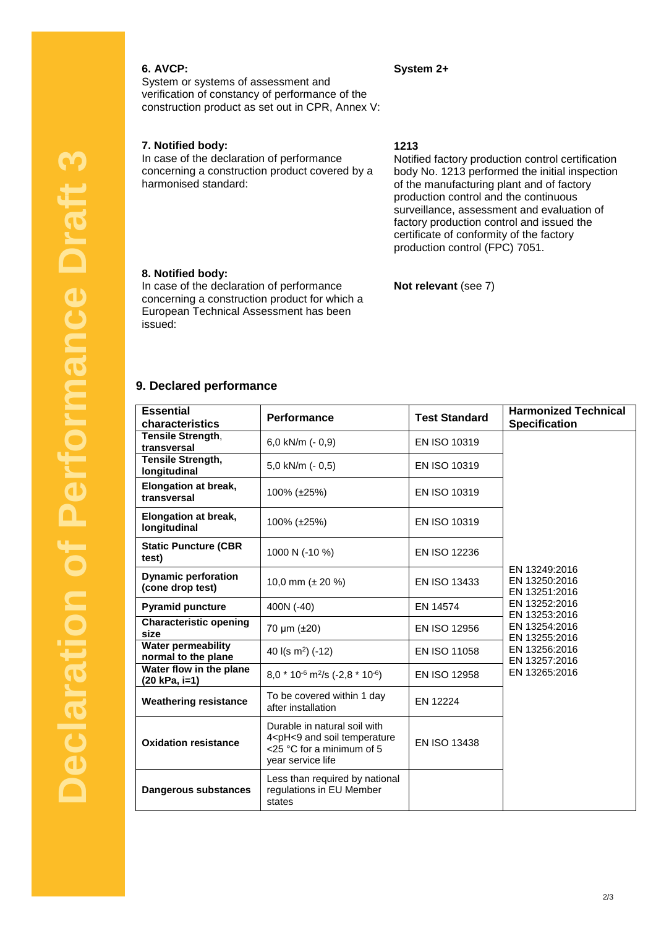## **6. AVCP:**

## **System 2+**

System or systems of assessment and verification of constancy of performance of the construction product as set out in CPR, Annex V:

## **7. Notified body:**

In case of the declaration of performance concerning a construction product covered by a harmonised standard:

## **1213**

Notified factory production control certification body No. 1213 performed the initial inspection of the manufacturing plant and of factory production control and the continuous surveillance, assessment and evaluation of factory production control and issued the certificate of conformity of the factory production control (FPC) 7051.

## **8. Notified body:**

In case of the declaration of performance concerning a construction product for which a European Technical Assessment has been issued:

**Not relevant** (see 7)

## **9. Declared performance**

| <b>Essential</b><br>characteristics              | Performance                                                                                                                        | <b>Test Standard</b> | <b>Harmonized Technical</b><br><b>Specification</b> |
|--------------------------------------------------|------------------------------------------------------------------------------------------------------------------------------------|----------------------|-----------------------------------------------------|
| Tensile Strength,                                | 6.0 kN/m $(-0.9)$                                                                                                                  | EN ISO 10319         |                                                     |
| transversal<br>Tensile Strength,<br>longitudinal | 5,0 kN/m (- 0,5)                                                                                                                   | EN ISO 10319         |                                                     |
| <b>Elongation at break,</b><br>transversal       | 100% (±25%)                                                                                                                        | EN ISO 10319         |                                                     |
| <b>Elongation at break,</b><br>longitudinal      | 100% (±25%)                                                                                                                        | EN ISO 10319         |                                                     |
| <b>Static Puncture (CBR</b><br>test)             | 1000 N (-10 %)                                                                                                                     | <b>EN ISO 12236</b>  |                                                     |
| <b>Dynamic perforation</b><br>(cone drop test)   | 10,0 mm ( $\pm$ 20 %)                                                                                                              | <b>EN ISO 13433</b>  | EN 13249:2016<br>EN 13250:2016<br>EN 13251:2016     |
| <b>Pyramid puncture</b>                          | 400N (-40)                                                                                                                         | EN 14574             | EN 13252:2016<br>EN 13253:2016                      |
| <b>Characteristic opening</b><br>size            | 70 $\mu$ m ( $\pm$ 20)                                                                                                             | <b>EN ISO 12956</b>  | EN 13254:2016<br>EN 13255:2016                      |
| <b>Water permeability</b><br>normal to the plane | 40 $I(s \, m^2)$ (-12)                                                                                                             | EN ISO 11058         | EN 13256:2016<br>EN 13257:2016                      |
| Water flow in the plane<br>(20 kPa, i=1)         | $8.0 * 10^{-6}$ m <sup>2</sup> /s (-2.8 * 10 <sup>-6</sup> )                                                                       | EN ISO 12958         | EN 13265:2016                                       |
| <b>Weathering resistance</b>                     | To be covered within 1 day<br>after installation                                                                                   | EN 12224             |                                                     |
| <b>Oxidation resistance</b>                      | Durable in natural soil with<br>4 <ph<9 and="" soil="" temperature<br="">&lt;25 °C for a minimum of 5<br/>year service life</ph<9> | EN ISO 13438         |                                                     |
| <b>Dangerous substances</b>                      | Less than required by national<br>regulations in EU Member<br>states                                                               |                      |                                                     |